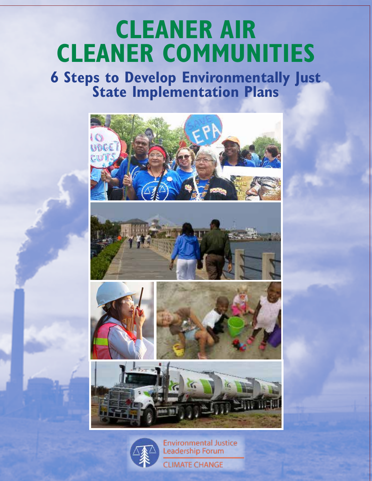# **CLEANER AIR CLEANER COMMUNITIES**

**6 Steps to Develop Environmentally Just State Implementation Plans**













Environmental Justice<br>Leadership Forum **CLIMATE CHANGE**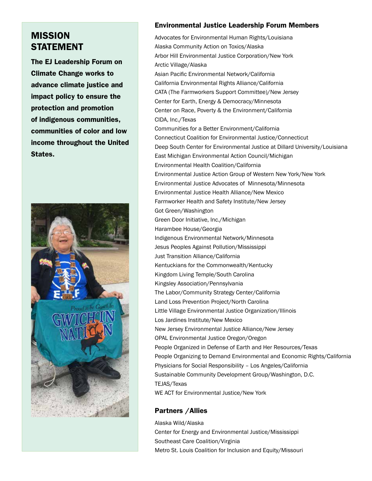## MISSION STATEMENT

**FISHIP FUTULIT UIT** Arctic Village/Alaska advance climate justice and impact policy to ensure the  $\overline{\phantom{a}}$  CATA (The Farming  $\overline{\phantom{a}}$ of indigenous communities, **Earth** CIDA, Inc./Texa The EJ Leadership Forum on Climate Change works to protection and promotion communities of color and low income throughout the United States.



## Environmental Justice Leadership Forum Members

**ENT** Alaska Community Action on Toxics/Alaska Community Action on Toxics/Alaska Arbor Hill Environmental Justice Corporation/New York nge works to **Asian Pacific Environmental Network/California** Fig. 2. Center for Earth, Energy & Democracy/Minnesota **THE FATA CETA CERTA COMMITTEE** Center on Race, Poverty & the Environment/California **of color and low** Communities for a Better Environment/California **Envut the United** Deep South Center for Environmental Justice at Dillard University/Louisiana **• Connecticut Connecticut Connecticut Connecticut Connecticut Connecticut Connecticut Connecticut Connecticut Connecticut Connecticut Connecticut Connecticut Connecticut Connecticut Connecticut Connecticut Connecticut Con** en South Center for Environmental Health Coalition/California Environmental Justice Action Group of Western New York/New York Environmental Justice Advocates of Minnesota/Minnesota environmental Justice Health Alliance/New Mexico **• Ending Advocates of Advocates of Advocates of Minnesotal Advocates of Advocation**<br>Farmworker Health and Safety Institute/New Jersey **• Farmworker Health and Safety Institute Institute Inc./Michigan Example 2** Land Loss Prevention Project/North Carolina **FRATT'INI** SALLITTINING CONTROLLER Little Village Environmental Justice Organization/Illinois **FILITTLE VILLAGE ENVIROPHENTAL LOS Jardines Institute/New Mexico** • New Jersey Environmental Justice Alliance/New Jersey OPAL Environmental Justice Oregon/Oregon **• ORAL ENGINEERING CORPORE OR AN INCREDIT OF CORPORE OR AN INCREDIT OF CORPORATION People Organizing to Demand Environmental and Economic Rights/California Physicians for Social Responsibility – Los Angeles/California**<br> **Physicians for Social Responsibility – Los Angeles/California From Sustainable Community Development Group/Washington, D.C.** Sustainable Community Development Group/Washington, D.C. **For Sustainable Community Development Group** Advocates for Environmental Human Rights/Louisiana California Environmental Rights Alliance/California CATA (The Farmworkers Support Committee)/New Jersey CIDA, Inc./Texas Connecticut Coalition for Environmental Justice/Connecticut Harambee House/Georgia Indigenous Environmental Network/Minnesota Jesus Peoples Against Pollution/Mississippi Just Transition Alliance/California Kentuckians for the Commonwealth/Kentucky Kingdom Living Temple/South Carolina Kingsley Association/Pennsylvania The Labor/Community Strategy Center/California New Jersey Environmental Justice Alliance/New Jersey WE ACT for Environmental Justice/New York

#### Partners /Allies

• Center for Energy and Environmental Justice/Mississippi Center for Energy and Environmental Justice/Mississippi • Southeast Care Coalition/Virginia  $\bullet$  Metro St. Louis Coalition for  $\bullet$  is the Inclusion and  $\bullet$ Alaska Wild/Alaska Southeast Care Coalition/Virginia Metro St. Louis Coalition for Inclusion and Equity/Missouri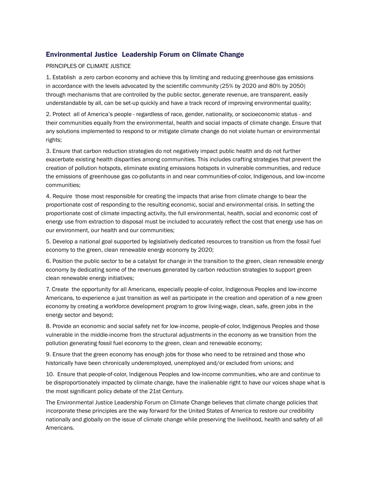#### Environmental Justice Leadership Forum on Climate Change

#### PRINCIPLES OF CLIMATE JUSTICE

1. Establish a zero carbon economy and achieve this by limiting and reducing greenhouse gas emissions in accordance with the levels advocated by the scientific community (25% by 2020 and 80% by 2050) through mechanisms that are controlled by the public sector, generate revenue, are transparent, easily understandable by all, can be set-up quickly and have a track record of improving environmental quality;

2. Protect all of America's people - regardless of race, gender, nationality, or socioeconomic status - and their communities equally from the environmental, health and social impacts of climate change. Ensure that any solutions implemented to respond to or mitigate climate change do not violate human or environmental rights;

3. Ensure that carbon reduction strategies do not negatively impact public health and do not further exacerbate existing health disparities among communities. This includes crafting strategies that prevent the creation of pollution hotspots, eliminate existing emissions hotspots in vulnerable communities, and reduce the emissions of greenhouse gas co-pollutants in and near communities-of-color, Indigenous, and low-income communities;

4. Require those most responsible for creating the impacts that arise from climate change to bear the proportionate cost of responding to the resulting economic, social and environmental crisis. In setting the proportionate cost of climate impacting activity, the full environmental, health, social and economic cost of energy use from extraction to disposal must be included to accurately reflect the cost that energy use has on our environment, our health and our communities;

5. Develop a national goal supported by legislatively dedicated resources to transition us from the fossil fuel economy to the green, clean renewable energy economy by 2020;

6. Position the public sector to be a catalyst for change in the transition to the green, clean renewable energy economy by dedicating some of the revenues generated by carbon reduction strategies to support green clean renewable energy initiatives;

7. Create the opportunity for all Americans, especially people-of-color, Indigenous Peoples and low-income Americans, to experience a just transition as well as participate in the creation and operation of a new green economy by creating a workforce development program to grow living-wage, clean, safe, green jobs in the energy sector and beyond;

8. Provide an economic and social safety net for low-income, people-of-color, Indigenous Peoples and those vulnerable in the middle-income from the structural adjustments in the economy as we transition from the pollution generating fossil fuel economy to the green, clean and renewable economy;

9. Ensure that the green economy has enough jobs for those who need to be retrained and those who historically have been chronically underemployed, unemployed and/or excluded from unions; and

10. Ensure that people-of-color, Indigenous Peoples and low-income communities, who are and continue to be disproportionately impacted by climate change, have the inalienable right to have our voices shape what is the most significant policy debate of the 21st Century.

The Environmental Justice Leadership Forum on Climate Change believes that climate change policies that incorporate these principles are the way forward for the United States of America to restore our credibility nationally and globally on the issue of climate change while preserving the livelihood, health and safety of all Americans.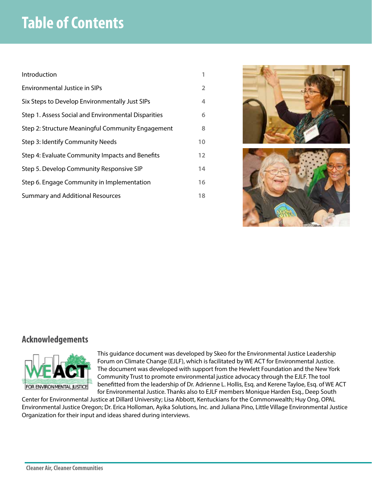## **Table of Contents**

| Introduction                                        |    |  |
|-----------------------------------------------------|----|--|
| <b>Environmental Justice in SIPs</b>                |    |  |
| Six Steps to Develop Environmentally Just SIPs      | 4  |  |
| Step 1. Assess Social and Environmental Disparities | 6  |  |
| Step 2: Structure Meaningful Community Engagement   | 8  |  |
| Step 3: Identify Community Needs                    | 10 |  |
| Step 4: Evaluate Community Impacts and Benefits     | 12 |  |
| Step 5. Develop Community Responsive SIP            | 14 |  |
| Step 6. Engage Community in Implementation          | 16 |  |
| <b>Summary and Additional Resources</b>             | 18 |  |





## **Acknowledgements**



This guidance document was developed by Skeo for the Environmental Justice Leadership Forum on Climate Change (EJLF), which is facilitated by WE ACT for Environmental Justice. The document was developed with support from the Hewlett Foundation and the New York Community Trust to promote environmental justice advocacy through the EJLF. The tool benefitted from the leadership of Dr. Adrienne L. Hollis, Esq. and Kerene Tayloe, Esq. of WE ACT for Environmental Justice. Thanks also to EJLF members Monique Harden Esq., Deep South

Center for Environmental Justice at Dillard University; Lisa Abbott, Kentuckians for the Commonwealth; Huy Ong, OPAL Environmental Justice Oregon; Dr. Erica Holloman, Ayika Solutions, Inc. and Juliana Pino, Little Village Environmental Justice Organization for their input and ideas shared during interviews.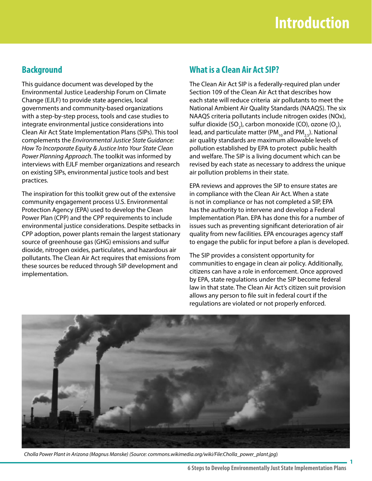## **Background**

This guidance document was developed by the Environmental Justice Leadership Forum on Climate Change (EJLF) to provide state agencies, local governments and community-based organizations with a step-by-step process, tools and case studies to integrate environmental justice considerations into Clean Air Act State Implementation Plans (SIPs). This tool complements the *Environmental Justice State Guidance: How To Incorporate Equity & Justice Into Your State Clean Power Planning Approach*. The toolkit was informed by interviews with EJLF member organizations and research on existing SIPs, environmental justice tools and best practices.

The inspiration for this toolkit grew out of the extensive community engagement process U.S. Environmental Protection Agency (EPA) used to develop the Clean Power Plan (CPP) and the CPP requirements to include environmental justice considerations. Despite setbacks in CPP adoption, power plants remain the largest stationary source of greenhouse gas (GHG) emissions and sulfur dioxide, nitrogen oxides, particulates, and hazardous air pollutants. The Clean Air Act requires that emissions from these sources be reduced through SIP development and implementation.

## **What is a Clean Air Act SIP?**

The Clean Air Act SIP is a federally-required plan under Section 109 of the Clean Air Act that describes how each state will reduce criteria air pollutants to meet the National Ambient Air Quality Standards (NAAQS). The six NAAQS criteria pollutants include nitrogen oxides (NOx), sulfur dioxide (SO<sub>2</sub>), carbon monoxide (CO), ozone (O<sub>3</sub>), lead, and particulate matter (PM<sub>10</sub> and PM<sub>25</sub>). National air quality standards are maximum allowable levels of pollution established by EPA to protect public health and welfare. The SIP is a living document which can be revised by each state as necessary to address the unique air pollution problems in their state.

EPA reviews and approves the SIP to ensure states are in compliance with the Clean Air Act. When a state is not in compliance or has not completed a SIP, EPA has the authority to intervene and develop a Federal Implementation Plan. EPA has done this for a number of issues such as preventing significant deterioration of air quality from new facilities. EPA encourages agency staff to engage the public for input before a plan is developed.

The SIP provides a consistent opportunity for communities to engage in clean air policy. Additionally, citizens can have a role in enforcement. Once approved by EPA, state regulations under the SIP become federal law in that state. The Clean Air Act's citizen suit provision allows any person to file suit in federal court if the regulations are violated or not properly enforced.



*Cholla Power Plant in Arizona (Magnus Manske) (Source: commons.wikimedia.org/wiki/File:Cholla\_power\_plant.jpg*)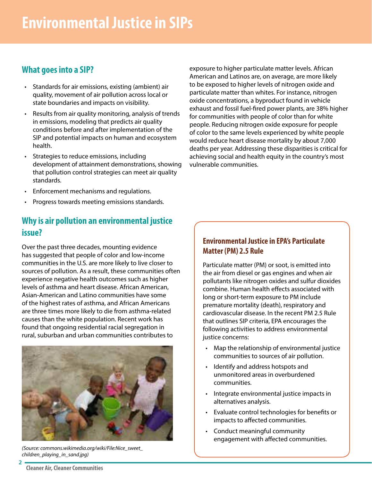## **What goes into a SIP?**

- Standards for air emissions, existing (ambient) air quality, movement of air pollution across local or state boundaries and impacts on visibility.
- Results from air quality monitoring, analysis of trends in emissions, modeling that predicts air quality conditions before and after implementation of the SIP and potential impacts on human and ecosystem health.
- Strategies to reduce emissions, including development of attainment demonstrations, showing that pollution control strategies can meet air quality standards.
- Enforcement mechanisms and regulations.
- Progress towards meeting emissions standards.

## **Why is air pollution an environmental justice issue?**

Over the past three decades, mounting evidence has suggested that people of color and low-income communities in the U.S. are more likely to live closer to sources of pollution. As a result, these communities often experience negative health outcomes such as higher levels of asthma and heart disease. African American, Asian-American and Latino communities have some of the highest rates of asthma, and African Americans are three times more likely to die from asthma-related causes than the white population. Recent work has found that ongoing residential racial segregation in rural, suburban and urban communities contributes to



*(Source: commons.wikimedia.org/wiki/File:Nice\_sweet\_ children\_playing\_in\_sand.jpg)*

exposure to higher particulate matter levels. African American and Latinos are, on average, are more likely to be exposed to higher levels of nitrogen oxide and particulate matter than whites. For instance, nitrogen oxide concentrations, a byproduct found in vehicle exhaust and fossil fuel-fired power plants, are 38% higher for communities with people of color than for white people. Reducing nitrogen oxide exposure for people of color to the same levels experienced by white people would reduce heart disease mortality by about 7,000 deaths per year. Addressing these disparities is critical for achieving social and health equity in the country's most vulnerable communities.

## **Environmental Justice in EPA's Particulate Matter (PM) 2.5 Rule**

Particulate matter (PM) or soot, is emitted into the air from diesel or gas engines and when air pollutants like nitrogen oxides and sulfur dioxides combine. Human health effects associated with long or short-term exposure to PM include premature mortality (death), respiratory and cardiovascular disease. In the recent PM 2.5 Rule that outlines SIP criteria, EPA encourages the following activities to address environmental justice concerns:

- Map the relationship of environmental justice communities to sources of air pollution.
- Identify and address hotspots and unmonitored areas in overburdened communities.
- Integrate environmental justice impacts in alternatives analysis.
- Evaluate control technologies for benefits or impacts to affected communities.
- Conduct meaningful community engagement with affected communities.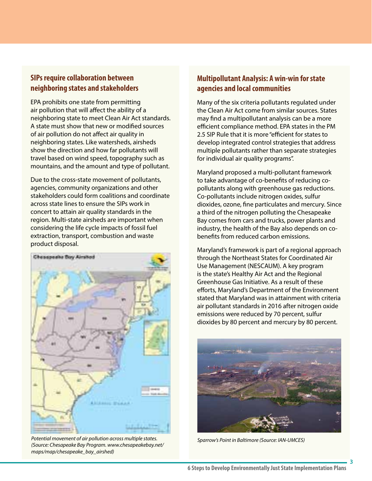## **SIPs require collaboration between neighboring states and stakeholders**

EPA prohibits one state from permitting air pollution that will affect the ability of a neighboring state to meet Clean Air Act standards. A state must show that new or modified sources of air pollution do not affect air quality in neighboring states. Like watersheds, airsheds show the direction and how far pollutants will travel based on wind speed, topography such as mountains, and the amount and type of pollutant.

Due to the cross-state movement of pollutants, agencies, community organizations and other stakeholders could form coalitions and coordinate across state lines to ensure the SIPs work in concert to attain air quality standards in the region. Multi-state airsheds are important when considering the life cycle impacts of fossil fuel extraction, transport, combustion and waste product disposal.



*Potential movement of air pollution across multiple states. (Source: Chesapeake Bay Program. www.chesapeakebay.net/ maps/map/chesapeake\_bay\_airshed)*

## **Multipollutant Analysis: A win-win for state agencies and local communities**

Many of the six criteria pollutants regulated under the Clean Air Act come from similar sources. States may find a multipollutant analysis can be a more efficient compliance method. EPA states in the PM 2.5 SIP Rule that it is more "efficient for states to develop integrated control strategies that address multiple pollutants rather than separate strategies for individual air quality programs".

Maryland proposed a multi-pollutant framework to take advantage of co-benefits of reducing copollutants along with greenhouse gas reductions. Co-pollutants include nitrogen oxides, sulfur dioxides, ozone, fine particulates and mercury. Since a third of the nitrogen polluting the Chesapeake Bay comes from cars and trucks, power plants and industry, the health of the Bay also depends on cobenefits from reduced carbon emissions.

Maryland's framework is part of a regional approach through the Northeast States for Coordinated Air Use Management (NESCAUM). A key program is the state's Healthy Air Act and the Regional Greenhouse Gas Initiative. As a result of these efforts, Maryland's Department of the Environment stated that Maryland was in attainment with criteria air pollutant standards in 2016 after nitrogen oxide emissions were reduced by 70 percent, sulfur dioxides by 80 percent and mercury by 80 percent.



*Sparrow's Point in Baltimore (Source: IAN-UMCES)*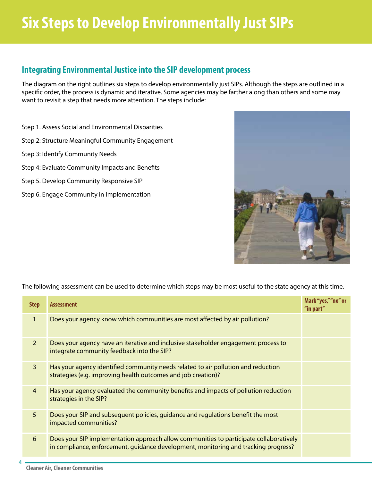## **Six Steps to Develop Environmentally Just SIPs**

## **Integrating Environmental Justice into the SIP development process**

The diagram on the right outlines six steps to develop environmentally just SIPs. Although the steps are outlined in a specific order, the process is dynamic and iterative. Some agencies may be farther along than others and some may want to revisit a step that needs more attention. The steps include:

- Step 1. Assess Social and Environmental Disparities
- Step 2: Structure Meaningful Community Engagement
- Step 3: Identify Community Needs
- Step 4: Evaluate Community Impacts and Benefits
- Step 5. Develop Community Responsive SIP
- Step 6. Engage Community in Implementation



The following assessment can be used to determine which steps may be most useful to the state agency at this time.

| <b>Step</b>    | <b>Assessment</b>                                                                                                                                                             | Mark "yes," "no" or<br>"in part" |
|----------------|-------------------------------------------------------------------------------------------------------------------------------------------------------------------------------|----------------------------------|
| $\mathbf{1}$   | Does your agency know which communities are most affected by air pollution?                                                                                                   |                                  |
| $\overline{2}$ | Does your agency have an iterative and inclusive stakeholder engagement process to<br>integrate community feedback into the SIP?                                              |                                  |
| 3              | Has your agency identified community needs related to air pollution and reduction<br>strategies (e.g. improving health outcomes and job creation)?                            |                                  |
| $\overline{4}$ | Has your agency evaluated the community benefits and impacts of pollution reduction<br>strategies in the SIP?                                                                 |                                  |
| 5              | Does your SIP and subsequent policies, guidance and regulations benefit the most<br>impacted communities?                                                                     |                                  |
| 6              | Does your SIP implementation approach allow communities to participate collaboratively<br>in compliance, enforcement, guidance development, monitoring and tracking progress? |                                  |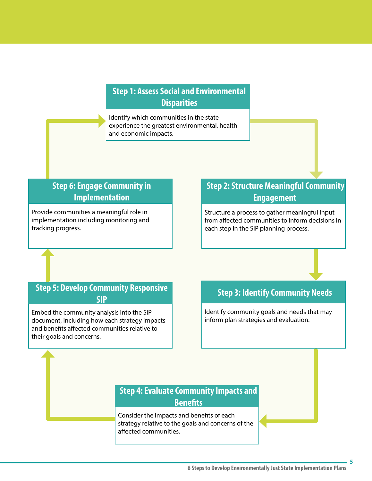## **Step 1: Assess Social and Environmental Disparities**

Identify which communities in the state experience the greatest environmental, health and economic impacts.

## **Step 6: Engage Community in Implementation**

Provide communities a meaningful role in implementation including monitoring and tracking progress.

## **Step 2: Structure Meaningful Community Engagement**

Structure a process to gather meaningful input from affected communities to inform decisions in each step in the SIP planning process.

## **Step 5: Develop Community Responsive SIP**

Embed the community analysis into the SIP document, including how each strategy impacts and benefits affected communities relative to their goals and concerns.

## **Step 3: Identify Community Needs**

Identify community goals and needs that may inform plan strategies and evaluation.

## **Step 4: Evaluate Community Impacts and Benefits**

Consider the impacts and benefits of each strategy relative to the goals and concerns of the affected communities.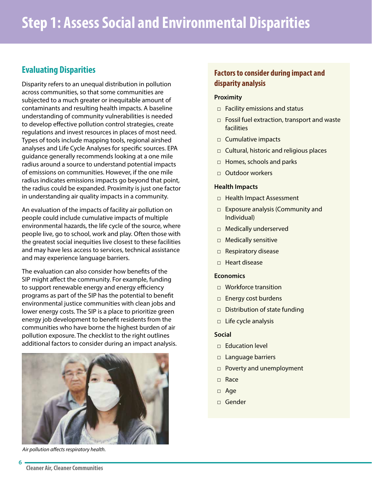## **Evaluating Disparities**

Disparity refers to an unequal distribution in pollution across communities, so that some communities are subjected to a much greater or inequitable amount of contaminants and resulting health impacts. A baseline understanding of community vulnerabilities is needed to develop effective pollution control strategies, create regulations and invest resources in places of most need. Types of tools include mapping tools, regional airshed analyses and Life Cycle Analyses for specific sources. EPA guidance generally recommends looking at a one mile radius around a source to understand potential impacts of emissions on communities. However, if the one mile radius indicates emissions impacts go beyond that point, the radius could be expanded. Proximity is just one factor in understanding air quality impacts in a community.

An evaluation of the impacts of facility air pollution on people could include cumulative impacts of multiple environmental hazards, the life cycle of the source, where people live, go to school, work and play. Often those with the greatest social inequities live closest to these facilities and may have less access to services, technical assistance and may experience language barriers.

The evaluation can also consider how benefits of the SIP might affect the community. For example, funding to support renewable energy and energy efficiency programs as part of the SIP has the potential to benefit environmental justice communities with clean jobs and lower energy costs. The SIP is a place to prioritize green energy job development to benefit residents from the communities who have borne the highest burden of air pollution exposure. The checklist to the right outlines additional factors to consider during an impact analysis.



*Air pollution affects respiratory health.* 

## **Factors to consider during impact and disparity analysis**

#### **Proximity**

- **□** Facility emissions and status
- **□** Fossil fuel extraction, transport and waste facilities
- **□** Cumulative impacts
- **□** Cultural, historic and religious places
- **□** Homes, schools and parks
- **□** Outdoor workers

#### **Health Impacts**

- **□** Health Impact Assessment
- **□** Exposure analysis (Community and Individual)
- **□** Medically underserved
- **□** Medically sensitive
- **□** Respiratory disease
- **□** Heart disease

#### **Economics**

- **□** Workforce transition
- **□** Energy cost burdens
- **□** Distribution of state funding
- **□** Life cycle analysis

#### **Social**

- **□** Education level
- **□** Language barriers
- **□** Poverty and unemployment
- **□** Race
- **□** Age
- **□** Gender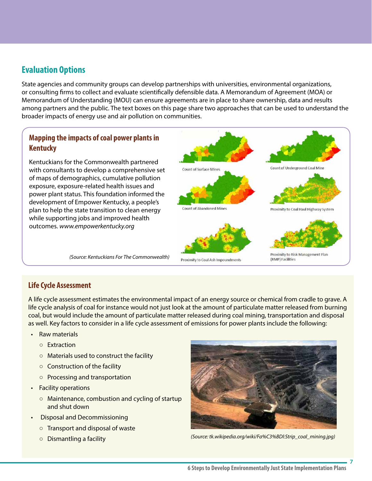## **Evaluation Options**

State agencies and community groups can develop partnerships with universities, environmental organizations, or consulting firms to collect and evaluate scientifically defensible data. A Memorandum of Agreement (MOA) or Memorandum of Understanding (MOU) can ensure agreements are in place to share ownership, data and results among partners and the public. The text boxes on this page share two approaches that can be used to understand the broader impacts of energy use and air pollution on communities.

#### **Mapping the impacts of coal power plants in Kentucky** Kentuckians for the Commonwealth partnered Count of Underground Coal Mine with consultants to develop a comprehensive set **Count of Surface Mines** of maps of demographics, cumulative pollution exposure, exposure-related health issues and power plant status. This foundation informed the development of Empower Kentucky, a people's **Count of Abandoned Mines** plan to help the state transition to clean energy Proximity to Coal Haul Highway System while supporting jobs and improved health outcomes. *www.empowerkentucky.org*  Proximity to Risk Management Plan *(Source: Kentuckians For The Commonwealth)* Proximity to Coal Ash Impoundments (RMP) Facilities

## **Life Cycle Assessment**

A life cycle assessment estimates the environmental impact of an energy source or chemical from cradle to grave. A life cycle analysis of coal for instance would not just look at the amount of particulate matter released from burning coal, but would include the amount of particulate matter released during coal mining, transportation and disposal as well. Key factors to consider in a life cycle assessment of emissions for power plants include the following:

- Raw materials
	- Extraction
	- Materials used to construct the facility
	- Construction of the facility
	- Processing and transportation
- Facility operations
	- Maintenance, combustion and cycling of startup and shut down
- Disposal and Decommissioning
	- Transport and disposal of waste
	- Dismantling a facility



*(Source: tk.wikipedia.org/wiki/Fa%C3%BDl:Strip\_coal\_mining.jpg)*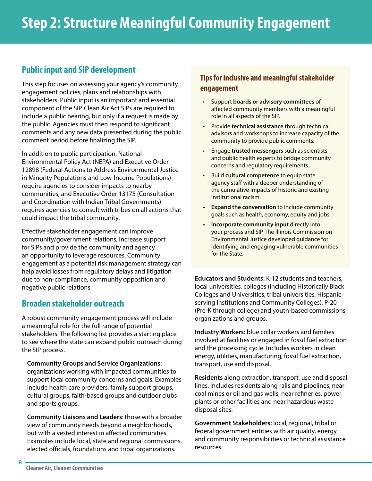## **Public input and SIP development**

This step focuses on assessing your agency's community engagement policies, plans and relationships with stakeholders. Public input is an important and essential component of the SIP. Clean Air Act SIPs are required to include a public hearing, but only if a request is made by the public. Agencies must then respond to significant comments and any new data presented during the public comment period before finalizing the SIP.

In addition to public participation, National Environmental Policy Act (NEPA) and Executive Order 12898 (Federal Actions to Address Environmental Justice in Minority Populations and Low-Income Populations) require agencies to consider impacts to nearby communities, and Executive Order 13175 (Consultation and Coordination with Indian Tribal Governments) requires agencies to consult with tribes on all actions that could impact the tribal community.

Effective stakeholder engagement can improve community/government relations, increase support for SIPs and provide the community and agency an opportunity to leverage resources. Community engagement as a potential risk management strategy can help avoid losses from regulatory delays and litigation due to non-compliance, community opposition and negative public relations.

## **Broaden stakeholder outreach**

A robust community engagement process will include a meaningful role for the full range of potential stakeholders. The following list provides a starting place to see where the state can expand public outreach during the SIP process.

**Community Groups and Service Organizations:**  organizations working with impacted communities to support local community concerns and goals. Examples include health care providers, family support groups, cultural groups, faith-based groups and outdoor clubs and sports groups.

**Community Liaisons and Leaders**: those with a broader view of community needs beyond a neighborhoods, but with a vested interest in affected communities. Examples include local, state and regional commissions, elected officials, foundations and tribal organizations.

## **Tips for inclusive and meaningful stakeholder engagement**

- Support **boards or advisory committees** of affected community members with a meaningful role in all aspects of the SIP.
- Provide **technical assistance** through technical advisors and workshops to increase capacity of the community to provide public comments.
- Engage **trusted messengers** such as scientists and public health experts to bridge community concerns and regulatory requirements.
- Build **cultural competence** to equip state agency staff with a deeper understanding of the cumulative impacts of historic and existing institutional racism.
- **• Expand the conversation** to include community goals such as health, economy, equity and jobs.
- **• Incorporate community input** directly into your process and SIP. The Illinois Commission on Environmental Justice developed guidance for identifying and engaging vulnerable communities for the State.

**Educators and Students:** K-12 students and teachers, local universities, colleges (including Historically Black Colleges and Universities, tribal universities, Hispanic serving institutions and Community Colleges), P-20 (Pre-K through college) and youth-based commissions, organizations and groups.

**Industry Workers:** blue collar workers and families involved at facilities or engaged in fossil fuel extraction and the processing cycle. Includes workers in clean energy, utilities, manufacturing, fossil fuel extraction, transport, use and disposal.

**Residents** along extraction, transport, use and disposal lines. Includes residents along rails and pipelines, near coal mines or oil and gas wells, near refineries, power plants or other facilities and near hazardous waste disposal sites.

**Government Stakeholders:** local, regional, tribal or federal government entities with air quality, energy and community responsibilities or technical assistance resources.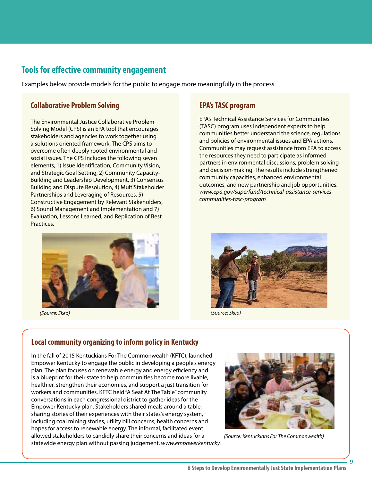## **Tools for effective community engagement**

Examples below provide models for the public to engage more meaningfully in the process.

#### **Collaborative Problem Solving**

The Environmental Justice Collaborative Problem Solving Model (CPS) is an EPA tool that encourages stakeholders and agencies to work together using a solutions oriented framework. The CPS aims to overcome often deeply rooted environmental and social issues. The CPS includes the following seven elements, 1) Issue Identification, Community Vision, and Strategic Goal Setting, 2) Community Capacity-Building and Leadership Development, 3) Consensus Building and Dispute Resolution, 4) MultiStakeholder Partnerships and Leveraging of Resources, 5) Constructive Engagement by Relevant Stakeholders, 6) Sound Management and Implementation and 7) Evaluation, Lessons Learned, and Replication of Best Practices.



#### **EPA's TASC program**

EPA's Technical Assistance Services for Communities (TASC) program uses independent experts to help communities better understand the science, regulations and policies of environmental issues and EPA actions. Communities may request assistance from EPA to access the resources they need to participate as informed partners in environmental discussions, problem solving and decision-making. The results include strengthened community capacities, enhanced environmental outcomes, and new partnership and job opportunities. *www.epa.gov/superfund/technical-assistance-servicescommunities-tasc-program* 



*(Source: Skeo) (Source: Skeo)*

#### **Local community organizing to inform policy in Kentucky**

In the fall of 2015 Kentuckians For The Commonwealth (KFTC), launched Empower Kentucky to engage the public in developing a people's energy plan. The plan focuses on renewable energy and energy efficiency and is a blueprint for their state to help communities become more livable, healthier, strengthen their economies, and support a just transition for workers and communities. KFTC held "A Seat At The Table" community conversations in each congressional district to gather ideas for the Empower Kentucky plan. Stakeholders shared meals around a table, sharing stories of their experiences with their states's energy system, including coal mining stories, utility bill concerns, health concerns and hopes for access to renewable energy. The informal, facilitated event allowed stakeholders to candidly share their concerns and ideas for a statewide energy plan without passing judgement. *www.empowerkentucky.*



*(Source: Kentuckians For The Commonwealth)*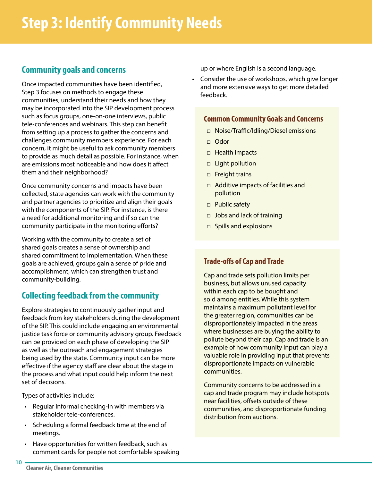## **Community goals and concerns**

Once impacted communities have been identified, Step 3 focuses on methods to engage these communities, understand their needs and how they may be incorporated into the SIP development process such as focus groups, one-on-one interviews, public tele-conferences and webinars. This step can benefit from setting up a process to gather the concerns and challenges community members experience. For each concern, it might be useful to ask community members to provide as much detail as possible. For instance, when are emissions most noticeable and how does it affect them and their neighborhood?

Once community concerns and impacts have been collected, state agencies can work with the community and partner agencies to prioritize and align their goals with the components of the SIP. For instance, is there a need for additional monitoring and if so can the community participate in the monitoring efforts?

Working with the community to create a set of shared goals creates a sense of ownership and shared commitment to implementation. When these goals are achieved, groups gain a sense of pride and accomplishment, which can strengthen trust and community-building.

## **Collecting feedback from the community**

Explore strategies to continuously gather input and feedback from key stakeholders during the development of the SIP. This could include engaging an environmental justice task force or community advisory group. Feedback can be provided on each phase of developing the SIP as well as the outreach and engagement strategies being used by the state. Community input can be more effective if the agency staff are clear about the stage in the process and what input could help inform the next set of decisions.

Types of activities include:

- Regular informal checking-in with members via stakeholder tele-conferences.
- Scheduling a formal feedback time at the end of meetings.
- Have opportunities for written feedback, such as comment cards for people not comfortable speaking

up or where English is a second language.

• Consider the use of workshops, which give longer and more extensive ways to get more detailed feedback.

#### **Common Community Goals and Concerns**

- **□** Noise/Traffic/Idling/Diesel emissions
- **□** Odor
- **□** Health impacts
- **□** Light pollution
- **□** Freight trains
- **□** Additive impacts of facilities and pollution
- **□** Public safety
- **□** Jobs and lack of training
- **□** Spills and explosions

## **Trade-offs of Cap and Trade**

Cap and trade sets pollution limits per business, but allows unused capacity within each cap to be bought and sold among entities. While this system maintains a maximum pollutant level for the greater region, communities can be disproportionately impacted in the areas where businesses are buying the ability to pollute beyond their cap. Cap and trade is an example of how community input can play a valuable role in providing input that prevents disproportionate impacts on vulnerable communities.

Community concerns to be addressed in a cap and trade program may include hotspots near facilities, offsets outside of these communities, and disproportionate funding distribution from auctions.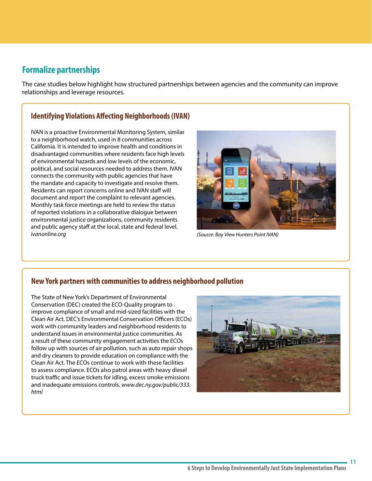## **Formalize partnerships**

The case studies below highlight how structured partnerships between agencies and the community can improve relationships and leverage resources.

## **Identifying Violations Affecting Neighborhoods (IVAN)**

IVAN is a proactive Environmental Monitoring System, similar to a neighborhood watch, used in 8 communities across California. It is intended to improve health and conditions in disadvantaged communities where residents face high levels of environmental hazards and low levels of the economic, political, and social resources needed to address them. IVAN connects the community with public agencies that have the mandate and capacity to investigate and resolve them. Residents can report concerns online and IVAN staff will document and report the complaint to relevant agencies. Monthly task force meetings are held to review the status of reported violations in a collaborative dialogue between environmental justice organizations, community residents and public agency staff at the local, state and federal level. *ivanonline.org* 



*(Source: Bay View Hunters Point IVAN)*

#### **New York partners with communities to address neighborhood pollution**

The State of New York's Department of Environmental Conservation (DEC) created the ECO-Quality program to improve compliance of small and mid-sized facilities with the Clean Air Act. DEC's Environmental Conservation Officers (ECOs) work with community leaders and neighborhood residents to understand issues in environmental justice communities. As a result of these community engagement activities the ECOs follow up with sources of air pollution, such as auto repair shops and dry cleaners to provide education on compliance with the Clean Air Act. The ECOs continue to work with these facilities to assess compliance. ECOs also patrol areas with heavy diesel truck traffic and issue tickets for idling, excess smoke emissions and inadequate emissions controls. *www.dec.ny.gov/public/333. html*

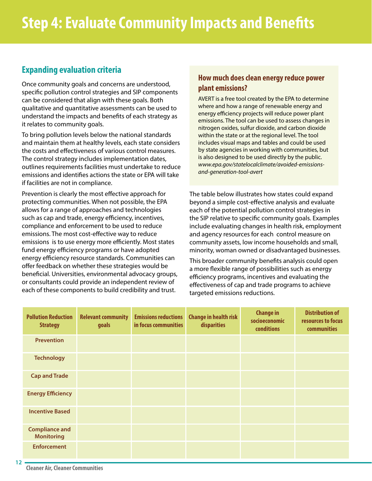## **Expanding evaluation criteria**

Once community goals and concerns are understood, specific pollution control strategies and SIP components can be considered that align with these goals. Both qualitative and quantitative assessments can be used to understand the impacts and benefits of each strategy as it relates to community goals.

To bring pollution levels below the national standards and maintain them at healthy levels, each state considers the costs and effectiveness of various control measures. The control strategy includes implementation dates, outlines requirements facilities must undertake to reduce emissions and identifies actions the state or EPA will take if facilities are not in compliance.

Prevention is clearly the most effective approach for protecting communities. When not possible, the EPA allows for a range of approaches and technologies such as cap and trade, energy efficiency, incentives, compliance and enforcement to be used to reduce emissions. The most cost-effective way to reduce emissions is to use energy more efficiently. Most states fund energy efficiency programs or have adopted energy efficiency resource standards. Communities can offer feedback on whether these strategies would be beneficial. Universities, environmental advocacy groups, or consultants could provide an independent review of each of these components to build credibility and trust.

## **How much does clean energy reduce power plant emissions?**

AVERT is a free tool created by the EPA to determine where and how a range of renewable energy and energy efficiency projects will reduce power plant emissions. The tool can be used to assess changes in nitrogen oxides, sulfur dioxide, and carbon dioxide within the state or at the regional level. The tool includes visual maps and tables and could be used by state agencies in working with communities, but is also designed to be used directly by the public. *www.epa.gov/statelocalclimate/avoided-emissionsand-generation-tool-avert*

The table below illustrates how states could expand beyond a simple cost-effective analysis and evaluate each of the potential pollution control strategies in the SIP relative to specific community goals. Examples include evaluating changes in health risk, employment and agency resources for each control measure on community assets, low income households and small, minority, woman owned or disadvantaged businesses.

This broader community benefits analysis could open a more flexible range of possibilities such as energy efficiency programs, incentives and evaluating the effectiveness of cap and trade programs to achieve targeted emissions reductions.

| <b>Pollution Reduction</b><br><b>Strategy</b> | <b>Relevant community</b><br>goals | <b>Emissions reductions</b><br>in focus communities | <b>Change in health risk</b><br>disparities | <b>Change in</b><br>socioeconomic<br>conditions | <b>Distribution of</b><br>resources to focus<br>communities |
|-----------------------------------------------|------------------------------------|-----------------------------------------------------|---------------------------------------------|-------------------------------------------------|-------------------------------------------------------------|
| <b>Prevention</b>                             |                                    |                                                     |                                             |                                                 |                                                             |
| <b>Technology</b>                             |                                    |                                                     |                                             |                                                 |                                                             |
| <b>Cap and Trade</b>                          |                                    |                                                     |                                             |                                                 |                                                             |
| <b>Energy Efficiency</b>                      |                                    |                                                     |                                             |                                                 |                                                             |
| <b>Incentive Based</b>                        |                                    |                                                     |                                             |                                                 |                                                             |
| <b>Compliance and</b><br><b>Monitoring</b>    |                                    |                                                     |                                             |                                                 |                                                             |
| <b>Enforcement</b>                            |                                    |                                                     |                                             |                                                 |                                                             |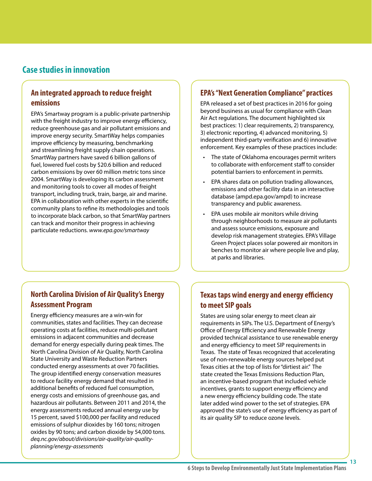## **Case studies in innovation**

## **An integrated approach to reduce freight emissions**

EPA's Smartway program is a public-private partnership with the freight industry to improve energy efficiency, reduce greenhouse gas and air pollutant emissions and improve energy security. SmartWay helps companies improve efficiency by measuring, benchmarking and streamlining freight supply chain operations. SmartWay partners have saved 6 billion gallons of fuel, lowered fuel costs by \$20.6 billion and reduced carbon emissions by over 60 million metric tons since 2004. SmartWay is developing its carbon assessment and monitoring tools to cover all modes of freight transport, including truck, train, barge, air and marine. EPA in collaboration with other experts in the scientific community plans to refine its methodologies and tools to incorporate black carbon, so that SmartWay partners can track and monitor their progress in achieving particulate reductions. *www.epa.gov/smartway*

## **EPA's "Next Generation Compliance" practices**

EPA released a set of best practices in 2016 for going beyond business as usual for compliance with Clean Air Act regulations. The document highlighted six best practices: 1) clear requirements, 2) transparency, 3) electronic reporting, 4) advanced monitoring, 5) independent third-party verification and 6) innovative enforcement. Key examples of these practices include:

- The state of Oklahoma encourages permit writers to collaborate with enforcement staff to consider potential barriers to enforcement in permits.
- EPA shares data on pollution trading allowances, emissions and other facility data in an interactive database (ampd.epa.gov/ampd) to increase transparency and public awareness.
- EPA uses mobile air monitors while driving through neighborhoods to measure air pollutants and assess source emissions, exposure and develop risk management strategies. EPA's Village Green Project places solar powered air monitors in benches to monitor air where people live and play, at parks and libraries.

## **North Carolina Division of Air Quality's Energy Assessment Program**

Energy efficiency measures are a win-win for communities, states and facilities. They can decrease operating costs at facilities, reduce multi-pollutant emissions in adjacent communities and decrease demand for energy especially during peak times. The North Carolina Division of Air Quality, North Carolina State University and Waste Reduction Partners conducted energy assessments at over 70 facilities. The group identified energy conservation measures to reduce facility energy demand that resulted in additional benefits of reduced fuel consumption, energy costs and emissions of greenhouse gas, and hazardous air pollutants. Between 2011 and 2014, the energy assessments reduced annual energy use by 15 percent, saved \$100,000 per facility and reduced emissions of sulphur dioxides by 160 tons; nitrogen oxides by 90 tons; and carbon dioxide by 54,000 tons. *deq.nc.gov/about/divisions/air-quality/air-qualityplanning/energy-assessments*

## **Texas taps wind energy and energy efficiency to meet SIP goals**

States are using solar energy to meet clean air requirements in SIPs. The U.S. Department of Energy's Office of Energy Efficiency and Renewable Energy provided technical assistance to use renewable energy and energy efficiency to meet SIP requirements in Texas. The state of Texas recognized that accelerating use of non-renewable energy sources helped put Texas cities at the top of lists for "dirtiest air." The state created the Texas Emissions Reduction Plan, an incentive-based program that included vehicle incentives, grants to support energy efficiency and a new energy efficiency building code. The state later added wind power to the set of strategies. EPA approved the state's use of energy efficiency as part of its air quality SIP to reduce ozone levels.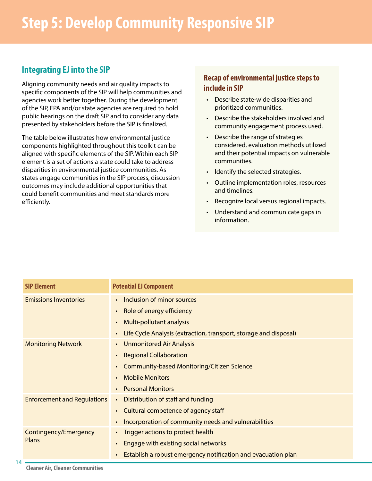## **Integrating EJ into the SIP**

Aligning community needs and air quality impacts to specific components of the SIP will help communities and agencies work better together. During the development of the SIP, EPA and/or state agencies are required to hold public hearings on the draft SIP and to consider any data presented by stakeholders before the SIP is finalized.

The table below illustrates how environmental justice components highlighted throughout this toolkit can be aligned with specific elements of the SIP. Within each SIP element is a set of actions a state could take to address disparities in environmental justice communities. As states engage communities in the SIP process, discussion outcomes may include additional opportunities that could benefit communities and meet standards more efficiently.

## **Recap of environmental justice steps to include in SIP**

- Describe state-wide disparities and prioritized communities.
- Describe the stakeholders involved and community engagement process used.
- Describe the range of strategies considered, evaluation methods utilized and their potential impacts on vulnerable communities.
- Identify the selected strategies.
- Outline implementation roles, resources and timelines.
- Recognize local versus regional impacts.
- Understand and communicate gaps in information.

| <b>SIP Element</b>                 | <b>Potential EJ Component</b>                                     |
|------------------------------------|-------------------------------------------------------------------|
| <b>Emissions Inventories</b>       | Inclusion of minor sources                                        |
|                                    | Role of energy efficiency<br>$\bullet$                            |
|                                    | Multi-pollutant analysis                                          |
|                                    | Life Cycle Analysis (extraction, transport, storage and disposal) |
| <b>Monitoring Network</b>          | <b>Unmonitored Air Analysis</b><br>$\bullet$                      |
|                                    | <b>Regional Collaboration</b>                                     |
|                                    | <b>Community-based Monitoring/Citizen Science</b>                 |
|                                    | <b>Mobile Monitors</b>                                            |
|                                    | <b>Personal Monitors</b>                                          |
| <b>Enforcement and Regulations</b> | Distribution of staff and funding<br>$\bullet$                    |
|                                    | Cultural competence of agency staff                               |
|                                    | Incorporation of community needs and vulnerabilities              |
| Contingency/Emergency              | Trigger actions to protect health                                 |
| Plans                              | Engage with existing social networks                              |
|                                    | Establish a robust emergency notification and evacuation plan     |

**Cleaner Air, Cleaner Communities**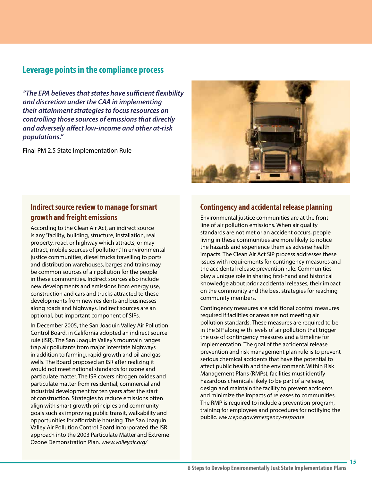## **Leverage points in the compliance process**

*"The EPA believes that states have sufficient flexibility and discretion under the CAA in implementing their attainment strategies to focus resources on controlling those sources of emissions that directly and adversely affect low-income and other at-risk populations."*

Final PM 2.5 State Implementation Rule



## **Indirect source review to manage for smart growth and freight emissions**

According to the Clean Air Act, an indirect source is any "facility, building, structure, installation, real property, road, or highway which attracts, or may attract, mobile sources of pollution." In environmental justice communities, diesel trucks travelling to ports and distribution warehouses, barges and trains may be common sources of air pollution for the people in these communities. Indirect sources also include new developments and emissions from energy use, construction and cars and trucks attracted to these developments from new residents and businesses along roads and highways. Indirect sources are an optional, but important component of SIPs.

In December 2005, the San Joaquin Valley Air Pollution Control Board, in California adopted an indirect source rule (ISR). The San Joaquin Valley's mountain ranges trap air pollutants from major interstate highways in addition to farming, rapid growth and oil and gas wells. The Board proposed an ISR after realizing it would not meet national standards for ozone and particulate matter. The ISR covers nitrogen oxides and particulate matter from residential, commercial and industrial development for ten years after the start of construction. Strategies to reduce emissions often align with smart growth principles and community goals such as improving public transit, walkability and opportunities for affordable housing. The San Joaquin Valley Air Pollution Control Board incorporated the ISR approach into the 2003 Particulate Matter and Extreme Ozone Demonstration Plan. *www.valleyair.org/*

#### **Contingency and accidental release planning**

Environmental justice communities are at the front line of air pollution emissions. When air quality standards are not met or an accident occurs, people living in these communities are more likely to notice the hazards and experience them as adverse health impacts. The Clean Air Act SIP process addresses these issues with requirements for contingency measures and the accidental release prevention rule. Communities play a unique role in sharing first-hand and historical knowledge about prior accidental releases, their impact on the community and the best strategies for reaching community members.

Contingency measures are additional control measures required if facilities or areas are not meeting air pollution standards. These measures are required to be in the SIP along with levels of air pollution that trigger the use of contingency measures and a timeline for implementation. The goal of the accidental release prevention and risk management plan rule is to prevent serious chemical accidents that have the potential to affect public health and the environment. Within Risk Management Plans (RMPs), facilities must identify hazardous chemicals likely to be part of a release, design and maintain the facility to prevent accidents and minimize the impacts of releases to communities. The RMP is required to include a prevention program, training for employees and procedures for notifying the public. *www.epa.gov/emergency-response*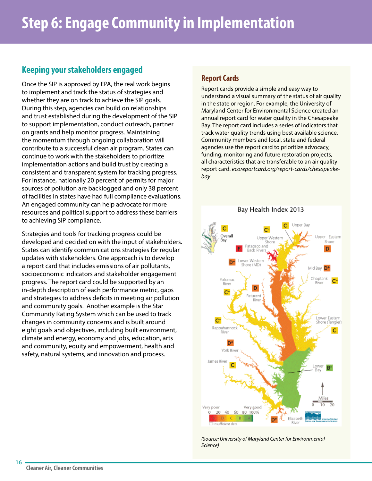## **Keeping your stakeholders engaged**

Once the SIP is approved by EPA, the real work begins to implement and track the status of strategies and whether they are on track to achieve the SIP goals. During this step, agencies can build on relationships and trust established during the development of the SIP to support implementation, conduct outreach, partner on grants and help monitor progress. Maintaining the momentum through ongoing collaboration will contribute to a successful clean air program. States can continue to work with the stakeholders to prioritize implementation actions and build trust by creating a consistent and transparent system for tracking progress. For instance, nationally 20 percent of permits for major sources of pollution are backlogged and only 38 percent of facilities in states have had full compliance evaluations. An engaged community can help advocate for more resources and political support to address these barriers to achieving SIP compliance.

Strategies and tools for tracking progress could be developed and decided on with the input of stakeholders. States can identify communications strategies for regular updates with stakeholders. One approach is to develop a report card that includes emissions of air pollutants, socioeconomic indicators and stakeholder engagement progress. The report card could be supported by an in-depth description of each performance metric, gaps and strategies to address deficits in meeting air pollution and community goals. Another example is the Star Community Rating System which can be used to track changes in community concerns and is built around eight goals and objectives, including built environment, climate and energy, economy and jobs, education, arts and community, equity and empowerment, health and safety, natural systems, and innovation and process.

### **Report Cards**

Report cards provide a simple and easy way to understand a visual summary of the status of air quality in the state or region. For example, the University of Maryland Center for Environmental Science created an annual report card for water quality in the Chesapeake Bay. The report card includes a series of indicators that track water quality trends using best available science. Community members and local, state and federal agencies use the report card to prioritize advocacy, funding, monitoring and future restoration projects, all characteristics that are transferable to an air quality report card. *ecoreportcard.org/report-cards/chesapeakebay* 

Bay Health Index 2013



*(Source: University of Maryland Center for Environmental Science)*

**16**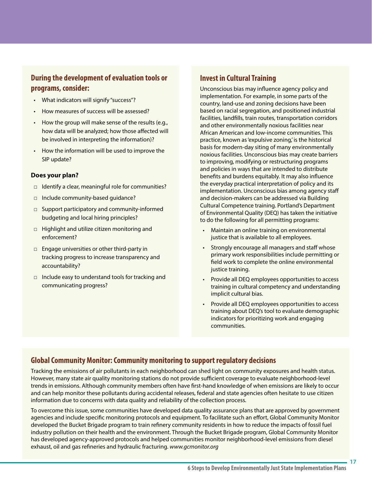## **During the development of evaluation tools or programs, consider:**

- What indicators will signify "success"?
- How measures of success will be assessed?
- How the group will make sense of the results (e.g., how data will be analyzed; how those affected will be involved in interpreting the information)?
- How the information will be used to improve the SIP update?

#### **Does your plan?**

- **□** Identify a clear, meaningful role for communities?
- **□** Include community-based guidance?
- **□** Support participatory and community-informed budgeting and local hiring principles?
- **□** Highlight and utilize citizen monitoring and enforcement?
- **□** Engage universities or other third-party in tracking progress to increase transparency and accountability?
- **□** Include easy to understand tools for tracking and communicating progress?

#### **Invest in Cultural Training**

Unconscious bias may influence agency policy and implementation. For example, in some parts of the country, land-use and zoning decisions have been based on racial segregation, and positioned industrial facilities, landfills, train routes, transportation corridors and other environmentally noxious facilities near African American and low-income communities. This practice, known as 'expulsive zoning,' is the historical basis for modern-day siting of many environmentally noxious facilities. Unconscious bias may create barriers to improving, modifying or restructuring programs and policies in ways that are intended to distribute benefits and burdens equitably. It may also influence the everyday practical interpretation of policy and its implementation. Unconscious bias among agency staff and decision-makers can be addressed via Building Cultural Competence training. Portland's Department of Environmental Quality (DEQ) has taken the initiative to do the following for all permitting programs:

- Maintain an online training on environmental justice that is available to all employees.
- Strongly encourage all managers and staff whose primary work responsibilities include permitting or field work to complete the online environmental justice training.
- Provide all DEQ employees opportunities to access training in cultural competency and understanding implicit cultural bias.
- Provide all DEQ employees opportunities to access training about DEQ's tool to evaluate demographic indicators for prioritizing work and engaging communities.

#### **Global Community Monitor: Community monitoring to support regulatory decisions**

Tracking the emissions of air pollutants in each neighborhood can shed light on community exposures and health status. However, many state air quality monitoring stations do not provide sufficient coverage to evaluate neighborhood-level trends in emissions. Although community members often have first-hand knowledge of when emissions are likely to occur and can help monitor these pollutants during accidental releases, federal and state agencies often hesitate to use citizen information due to concerns with data quality and reliability of the collection process.

To overcome this issue, some communities have developed data quality assurance plans that are approved by government agencies and include specific monitoring protocols and equipment. To facilitate such an effort, Global Community Monitor developed the Bucket Brigade program to train refinery community residents in how to reduce the impacts of fossil fuel industry pollution on their health and the environment. Through the Bucket Brigade program, Global Community Monitor has developed agency-approved protocols and helped communities monitor neighborhood-level emissions from diesel exhaust, oil and gas refineries and hydraulic fracturing. *www.gcmonitor.org*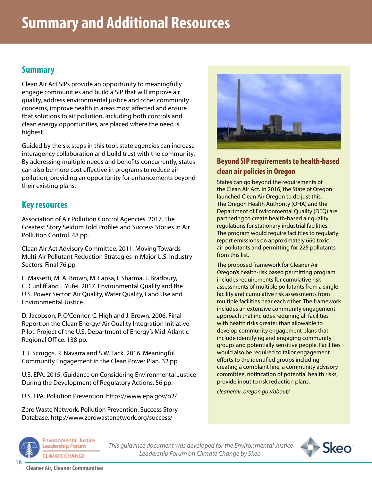## **Summary and Additional Resources**

## **Summary**

Clean Air Act SIPs provide an opportunity to meaningfully engage communities and build a SIP that will improve air quality, address environmental justice and other community concerns, improve health in areas most affected and ensure that solutions to air pollution, including both controls and clean energy opportunities, are placed where the need is highest.

Guided by the six steps in this tool, state agencies can increase interagency collaboration and build trust with the community. By addressing multiple needs and benefits concurrently, states can also be more cost effective in programs to reduce air pollution, providing an opportunity for enhancements beyond their existing plans.

## **Key resources**

Association of Air Pollution Control Agencies. 2017. The Greatest Story Seldom Told Profiles and Success Stories in Air Pollution Control. 48 pp.

Clean Air Act Advisory Committee. 2011. Moving Towards Multi-Air Pollutant Reduction Strategies in Major U.S. Industry Sectors. Final 76 pp.

E. Massetti, M. A. Brown, M. Lapsa, I. Sharma, J. Bradbury, C. Cunliff and L.Yufei. 2017. Environmental Quality and the U.S. Power Sector: Air Quality, Water Quality, Land Use and Environmental Justice.

D. Jacobson, P. O'Connor, C. High and J. Brown. 2006. Final Report on the Clean Energy/ Air Quality Integration Initiative Pilot. Project of the U.S. Department of Energy's Mid-Atlantic Regional Office. 138 pp.

J. J. Scruggs, R. Navarra and S.W. Tack. 2016. Meaningful Community Engagement in the Clean Power Plan. 32 pp.

U.S. EPA. 2015. Guidance on Considering Environmental Justice During the Development of Regulatory Actions. 56 pp.

U.S. EPA. Pollution Prevention. https://www.epa.gov/p2/

Zero Waste Network. Pollution Prevention. Success Story Database. http://www.zerowastenetwork.org/success/



## **Beyond SIP requirements to health-based clean air policies in Oregon**

States can go beyond the requirements of the Clean Air Act. In 2016, the State of Oregon launched Clean Air Oregon to do just this. The Oregon Health Authority (OHA) and the Department of Environmental Quality (DEQ) are partnering to create health-based air quality regulations for stationary industrial facilities. The program would require facilities to regularly report emissions on approximately 660 toxic air pollutants and permitting for 225 pollutants from this list.

The proposed framework for Cleaner Air Oregon's health-risk based permitting program includes requirements for cumulative risk assessments of multiple pollutants from a single facility and cumulative risk assessments from multiple facilities near each other. The framework includes an extensive community engagement approach that includes requiring all facilities with health risks greater than allowable to develop community engagement plans that include identifying and engaging community groups and potentially sensitive people. Facilities would also be required to tailor engagement efforts to the identified groups including creating a complaint line, a community advisory committee, notification of potential health risks, provide input to risk reduction plans.

*cleanerair. oregon.gov/about/*



**18**

**Environmental Justice** Leadership Forum **CLIMATE CHANGE** 

*This guidance document was developed for the Environmental Justice Leadership Forum on Climate Change by Skeo.*

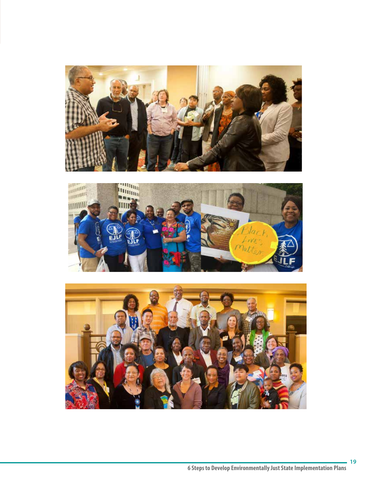